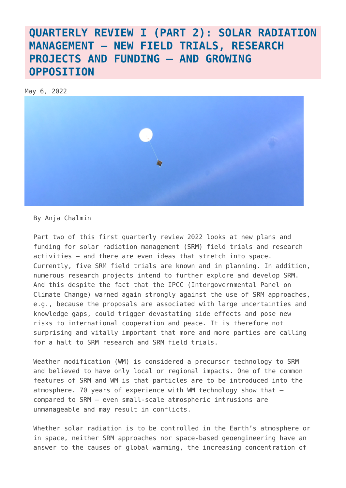### **[QUARTERLY REVIEW I \(PART 2\): SOLAR RADIATION](https://www.geoengineeringmonitor.org/2022/05/quarterly-review-i-part-2-solar-radiation-management-new-field-trials-research-projects-and-funding-and-growing-opposition/) [MANAGEMENT – NEW FIELD TRIALS, RESEARCH](https://www.geoengineeringmonitor.org/2022/05/quarterly-review-i-part-2-solar-radiation-management-new-field-trials-research-projects-and-funding-and-growing-opposition/) [PROJECTS AND FUNDING – AND GROWING](https://www.geoengineeringmonitor.org/2022/05/quarterly-review-i-part-2-solar-radiation-management-new-field-trials-research-projects-and-funding-and-growing-opposition/) [OPPOSITION](https://www.geoengineeringmonitor.org/2022/05/quarterly-review-i-part-2-solar-radiation-management-new-field-trials-research-projects-and-funding-and-growing-opposition/)**

May 6, 2022



By Anja Chalmin

Part two of this first quarterly review 2022 looks at new plans and funding for solar radiation management (SRM) field trials and research activities – and there are even ideas that stretch into space. Currently, five SRM field trials are known and in planning. In addition, numerous research projects intend to further explore and develop SRM. And this despite the fact that the IPCC (Intergovernmental Panel on Climate Change) warned again strongly against the use of SRM approaches, e.g., because the proposals are associated with large uncertainties and knowledge gaps, could trigger devastating side effects and pose new risks to international cooperation and peace. It is therefore not surprising and vitally important that more and more parties are calling for a halt to SRM research and SRM field trials.

Weather modification (WM) is considered a precursor technology to SRM and believed to have only local or regional impacts. One of the common features of SRM and WM is that particles are to be introduced into the atmosphere. 70 years of experience with WM technology show that – compared to SRM – even small-scale atmospheric intrusions are unmanageable and may result in conflicts.

Whether solar radiation is to be controlled in the Earth's atmosphere or in space, neither SRM approaches nor space-based geoengineering have an answer to the causes of global warming, the increasing concentration of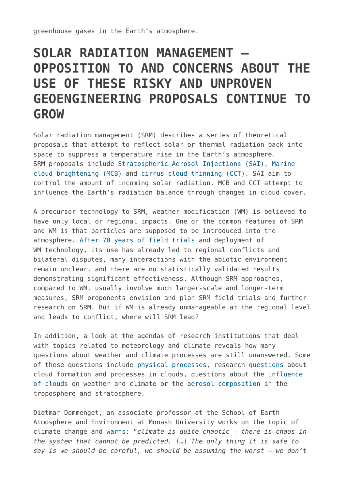greenhouse gases in the Earth's atmosphere.

## **SOLAR RADIATION MANAGEMENT – OPPOSITION TO AND CONCERNS ABOUT THE USE OF THESE RISKY AND UNPROVEN GEOENGINEERING PROPOSALS CONTINUE TO GROW**

Solar radiation management (SRM) describes a series of theoretical proposals that attempt to reflect solar or thermal radiation back into space to suppress a temperature rise in the Earth's atmosphere. SRM proposals include [Stratospheric Aerosol Injections \(SAI\),](https://www.geoengineeringmonitor.org/wp-content/uploads/2021/04/stratospheric-aerosol-injection.pdf) [Marine](https://www.geoengineeringmonitor.org/wp-content/uploads/2021/04/marine-cloud-brightening.pdf) [cloud brightening \(MCB\)](https://www.geoengineeringmonitor.org/wp-content/uploads/2021/04/marine-cloud-brightening.pdf) and [cirrus cloud thinning \(CCT\).](https://www.geoengineeringmonitor.org/wp-content/uploads/2021/04/cirrus-cloud-thinning.pdf) SAI aim to control the amount of incoming solar radiation. MCB and CCT attempt to influence the Earth's radiation balance through changes in cloud cover.

A precursor technology to SRM, weather modification (WM) is believed to have only local or regional impacts. One of the common features of SRM and WM is that particles are supposed to be introduced into the atmosphere. [After 70 years of field trials](https://www.geoengineeringmonitor.org/2022/04/quarterly-review-i-part-1-weather-modification-current-developments-and-lessons-learned-after-70-years-of-deployment/) and deployment of WM technology, its use has already led to regional conflicts and bilateral disputes, many interactions with the abiotic environment remain unclear, and there are no statistically validated results demonstrating significant effectiveness. Although SRM approaches, compared to WM, usually involve much larger-scale and longer-term measures, SRM proponents envision and plan SRM field trials and further research on SRM. But if WM is already unmanageable at the regional level and leads to conflict, where will SRM lead?

In addition, a look at the agendas of research institutions that deal with topics related to meteorology and climate reveals how many questions about weather and climate processes are still unanswered. Some of these questions include [physical processes,](https://en.ilmatieteenlaitos.fi/meteorological-research) research [questions](https://imiracli.web.ox.ac.uk/plain-language-summaries) about cloud formation and processes in clouds, questions about the [influence](https://www.kit.edu/topics/climate-and-environment.php) [of clouds](https://www.kit.edu/topics/climate-and-environment.php) on weather and climate or the [aerosol composition](https://environment.leeds.ac.uk/institute-climate-atmospheric-science) in the troposphere and stratosphere.

Dietmar Dommenget, an associate professor at the School of Earth Atmosphere and Environment at Monash University works on the topic of climate change and [warns](https://research.monash.edu/en/persons/dietmar-dommenget): "*climate is quite chaotic – there is chaos in the system that cannot be predicted. […] The only thing it is safe to say is we should be careful, we should be assuming the worst – we don't*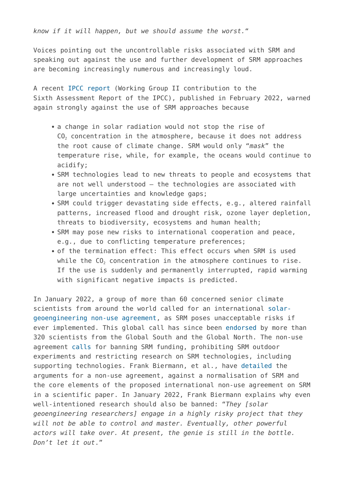*know if it will happen, but we should assume the worst.*"

Voices pointing out the uncontrollable risks associated with SRM and speaking out against the use and further development of SRM approaches are becoming increasingly numerous and increasingly loud.

A recent [IPCC report](https://www.ipcc.ch/report/ar6/wg2/) (Working Group II contribution to the Sixth Assessment Report of the IPCC), published in February 2022, warned again strongly against the use of SRM approaches because

- a change in solar radiation would not stop the rise of CO<sub>2</sub> concentration in the atmosphere, because it does not address the root cause of climate change. SRM would only "*mask*" the temperature rise, while, for example, the oceans would continue to acidify;
- SRM technologies lead to new threats to people and ecosystems that are not well understood – the technologies are associated with large uncertainties and knowledge gaps;
- SRM could trigger devastating side effects, e.g., altered rainfall patterns, increased flood and drought risk, ozone layer depletion, threats to biodiversity, ecosystems and human health;
- SRM may pose new risks to international cooperation and peace, e.g., due to conflicting temperature preferences;
- of the termination effect: This effect occurs when SRM is used while the CO<sub>2</sub> concentration in the atmosphere continues to rise. If the use is suddenly and permanently interrupted, rapid warming with significant negative impacts is predicted.

In January 2022, a group of more than 60 concerned senior climate scientists from around the world called for an international [solar](https://www.solargeoeng.org/)[geoengineering non-use agreement](https://www.solargeoeng.org/), as SRM poses unacceptable risks if ever implemented. This global call has since been [endorsed](https://www.solargeoeng.org/non-use-agreement/signatories/) by more than 320 scientists from the Global South and the Global North. The non-use agreement [calls](https://www.solargeoeng.org/non-use-agreement/open-letter/) for banning SRM funding, prohibiting SRM outdoor experiments and restricting research on SRM technologies, including supporting technologies. Frank Biermann, et al., have [detailed](https://wires.onlinelibrary.wiley.com/doi/10.1002/wcc.754) the arguments for a non-use agreement, against a normalisation of SRM and the core elements of the proposed international non-use agreement on SRM in a scientific paper. In January 2022, Frank Biermann explains why even well-intentioned research should also be banned: "*They [solar geoengineering researchers] engage in a highly risky project that they will not be able to control and master. Eventually, other powerful actors will take over. At present, the genie is still in the bottle. Don't let it out*."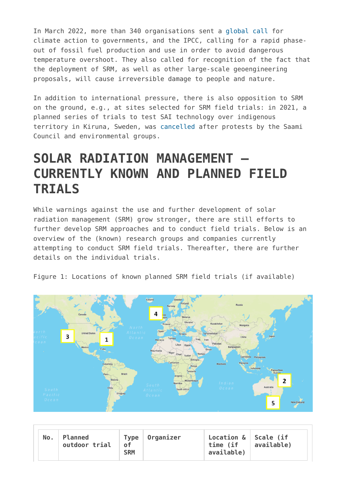In March 2022, more than 340 organisations sent a [global call](https://www.realsolutions-not-netzero.org/press/340-organizations-call-on-governments-and-the-ipcc-to-foreground-rapid-phaseout-of-fossil-fuels) for climate action to governments, and the IPCC, calling for a rapid phaseout of fossil fuel production and use in order to avoid dangerous temperature overshoot. They also called for recognition of the fact that the deployment of SRM, as well as other large-scale geoengineering proposals, will cause irreversible damage to people and nature.

In addition to international pressure, there is also opposition to SRM on the ground, e.g., at sites selected for SRM field trials: in 2021, a planned series of trials to test SAI technology over indigenous territory in Kiruna, Sweden, was [cancelled](https://www.geoengineeringmonitor.org/2021/07/sign-the-saami-councils-petition-to-stop-harvards-scopex-experiment/) after protests by the Saami Council and environmental groups.

## **SOLAR RADIATION MANAGEMENT – CURRENTLY KNOWN AND PLANNED FIELD TRIALS**

While warnings against the use and further development of solar radiation management (SRM) grow stronger, there are still efforts to further develop SRM approaches and to conduct field trials. Below is an overview of the (known) research groups and companies currently attempting to conduct SRM field trials. Thereafter, there are further details on the individual trials.





|  | $No.$ Planned<br>outdoor trial | <u>of</u><br><b>SRM</b> | Type   Organizer | Location $\&$ Scale (if<br>time (if<br>available) | available) |
|--|--------------------------------|-------------------------|------------------|---------------------------------------------------|------------|
|--|--------------------------------|-------------------------|------------------|---------------------------------------------------|------------|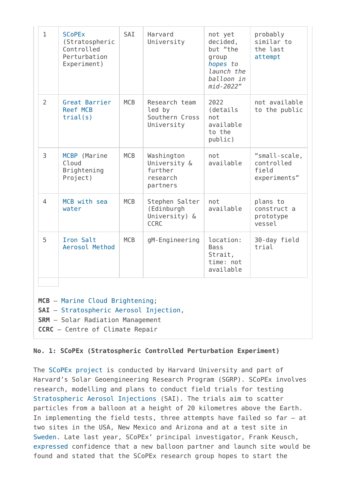| $\mathbf{1}$   | <b>SCoPEx</b><br>(Stratospheric<br>Controlled<br>Perturbation<br>Experiment) | SAI        | Harvard<br>University                                         | not yet<br>decided,<br>but "the<br>group<br>hopes to<br>launch the<br>balloon in<br>mid-2022" | probably<br>similar to<br>the last<br>attempt        |
|----------------|------------------------------------------------------------------------------|------------|---------------------------------------------------------------|-----------------------------------------------------------------------------------------------|------------------------------------------------------|
| 2              | Great Barrier<br><b>Reef MCB</b><br>trial(s)                                 | <b>MCB</b> | Research team<br>led by<br>Southern Cross<br>University       | 2022<br>(details<br>not<br>available<br>to the<br>public)                                     | not available<br>to the public                       |
| 3              | MCBP (Marine<br>Cloud<br>Brightening<br>Project)                             | <b>MCB</b> | Washington<br>University &<br>further<br>research<br>partners | not<br>available                                                                              | "small-scale,<br>controlled<br>field<br>experiments" |
| $\overline{4}$ | MCB with sea<br>water                                                        | <b>MCB</b> | Stephen Salter<br>(Edinburgh<br>University) &<br><b>CCRC</b>  | not<br>available                                                                              | plans to<br>construct a<br>prototype<br>vessel       |
| 5              | Iron Salt<br>Aerosol Method                                                  | <b>MCB</b> | gM-Engineering                                                | location:<br><b>Bass</b><br>Strait,<br>time: not<br>available                                 | 30-day field<br>trial                                |
|                |                                                                              |            |                                                               |                                                                                               |                                                      |

- **SRM** Solar Radiation Management
- **CCRC** Centre of Climate Repair

### **No. 1: SCoPEx (Stratospheric Controlled Perturbation Experiment)**

The [SCoPEx project](https://map.geoengineeringmonitor.org/srm/stratospheric-controlled-perturbation-experiment-(scopex)) is conducted by Harvard University and part of Harvard's Solar Geoengineering Research Program (SGRP). SCoPEx involves research, modelling and plans to conduct field trials for testing [Stratospheric Aerosol Injections](https://www.geoengineeringmonitor.org/wp-content/uploads/2021/04/stratospheric-aerosol-injection.pdf) (SAI). The trials aim to scatter particles from a balloon at a height of 20 kilometres above the Earth. In implementing the field tests, three attempts have failed so far – at two sites in the USA, New Mexico and Arizona and at a test site in [Sweden](https://map.geoengineeringmonitor.org/srm/scopex-swedish-space-corporation). Late last year, SCoPEx' principal investigator, Frank Keusch, [expressed](https://spectrum.ieee.org/solar-geoengineering) confidence that a new balloon partner and launch site would be found and stated that the SCoPEx research group hopes to start the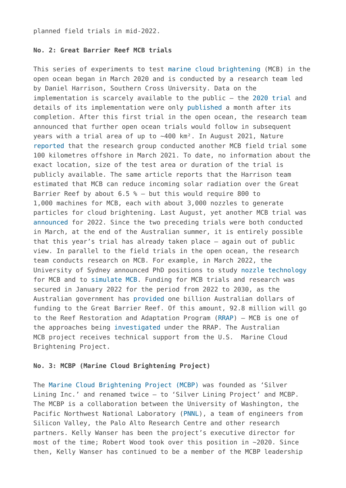planned field trials in mid-2022.

#### **No. 2: Great Barrier Reef MCB trials**

This series of experiments to test [marine cloud brightening](https://www.geoengineeringmonitor.org/wp-content/uploads/2021/04/marine-cloud-brightening.pdf) (MCB) in the open ocean began in March 2020 and is conducted by a research team led by Daniel Harrison, Southern Cross University. Data on the implementation is scarcely available to the public – the [2020 trial](https://map.geoengineeringmonitor.org/srm/mcb-trial-beside-broadhurst-reef) and details of its implementation were only [published](https://www.sims.org.au/news/96/marine-cloud-brightening-for-the-great-barrier-reef) a month after its completion. After this first trial in the open ocean, the research team announced that further open ocean trials would follow in subsequent years with a trial area of up to ~400 km². In August 2021, Nature [reported](https://www.nature.com/articles/d41586-021-02290-3) that the research group conducted another MCB field trial some 100 kilometres offshore in March 2021. To date, no information about the exact location, size of the test area or duration of the trial is publicly available. The same article reports that the Harrison team estimated that MCB can reduce incoming solar radiation over the Great Barrier Reef by about  $6.5$  % – but this would require 800 to 1,000 machines for MCB, each with about 3,000 nozzles to generate particles for cloud brightening. Last August, yet another MCB trial was [announced](https://www.nature.com/articles/d41586-021-02290-3) for 2022. Since the two preceding trials were both conducted in March, at the end of the Australian summer, it is entirely possible that this year's trial has already taken place – again out of public view. In parallel to the field trials in the open ocean, the research team conducts research on MCB. For example, in March 2022, the University of Sydney announced PhD positions to study [nozzle technology](https://www.sydney.edu.au/scholarships/b/research-scholarship-in-development-of-nozzle-technology-.html) for MCB and to [simulate MCB](https://www.sydney.edu.au/scholarships/b/scholarship-in-numerical-simulation-of-effervescent-spray-atomis.html). Funding for MCB trials and research was secured in January 2022 for the period from 2022 to 2030, as the Australian government has [provided](https://www.awe.gov.au/news/2022/01/28/billion-dollar-reef-protection-package) one billion Australian dollars of funding to the Great Barrier Reef. Of this amount, 92.8 million will go to the Reef Restoration and Adaptation Program [\(RRAP\)](https://map.geoengineeringmonitor.org/other/reef-restoration-and-adaptation-programme-(rrap)) – MCB is one of the approaches being [investigated](https://www.awe.gov.au/parks-heritage/great-barrier-reef/billion-dollar-reef-protection-package/restoration-and-adaptation) under the RRAP. The Australian MCB project receives technical support from the U.S. Marine Cloud Brightening Project.

#### **No. 3: MCBP (Marine Cloud Brightening Project)**

The [Marine Cloud Brightening Project \(MCBP\)](https://map.geoengineeringmonitor.org/srm/mcbp-marine-cloud-brightening-project-(former-) was founded as 'Silver Lining Inc.' and renamed twice – to 'Silver Lining Project' and MCBP. The MCBP is a collaboration between the University of Washington, the Pacific Northwest National Laboratory ([PNNL](https://map.geoengineeringmonitor.org/other/pnnl-geoengineering-research)), a team of engineers from Silicon Valley, the Palo Alto Research Centre and other research partners. Kelly Wanser has been the project's executive director for most of the time; Robert Wood took over this position in ~2020. Since then, Kelly Wanser has continued to be a member of the MCBP leadership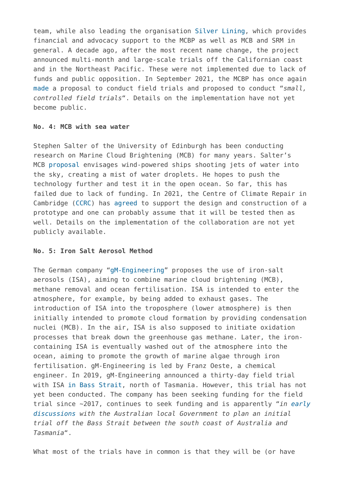team, while also leading the organisation [Silver Lining,](https://www.silverlining.ngo/) which provides financial and advocacy support to the MCBP as well as MCB and SRM in general. A decade ago, after the most recent name change, the project announced multi-month and large-scale trials off the Californian coast and in the Northeast Pacific. These were not implemented due to lack of funds and public opposition. In September 2021, the MCBP has once again [made](https://spectrum.ieee.org/climate-change) a proposal to conduct field trials and proposed to conduct "*small, controlled field trials*". Details on the implementation have not yet become public.

#### **No. 4: MCB with sea water**

Stephen Salter of the University of Edinburgh has been conducting research on Marine Cloud Brightening (MCB) for many years. Salter's MCB [proposal](https://map.geoengineeringmonitor.org/srm/mcb-with-sea-water-) envisages wind-powered ships shooting jets of water into the sky, creating a mist of water droplets. He hopes to push the technology further and test it in the open ocean. So far, this has failed due to lack of funding. In 2021, the Centre of Climate Repair in Cambridge [\(CCRC\)](https://map.geoengineeringmonitor.org/other/centre-for-climate-repair-at-cambridge-(ccrc)) has [agreed](https://www.climaterepair.cam.ac.uk/marine-cloud-brightening-mcb) to support the design and construction of a prototype and one can probably assume that it will be tested then as well. Details on the implementation of the collaboration are not yet publicly available.

#### **No. 5: Iron Salt Aerosol Method**

The German company "[gM-Engineering"](https://map.geoengineeringmonitor.org/srm/isa-iron-salt-aerosol-method-field-trial-in-bass-strait) proposes the use of iron-salt aerosols (ISA), aiming to combine marine cloud brightening (MCB), methane removal and ocean fertilisation. ISA is intended to enter the atmosphere, for example, by being added to exhaust gases. The introduction of ISA into the troposphere (lower atmosphere) is then initially intended to promote cloud formation by providing condensation nuclei (MCB). In the air, ISA is also supposed to initiate oxidation processes that break down the greenhouse gas methane. Later, the ironcontaining ISA is eventually washed out of the atmosphere into the ocean, aiming to promote the growth of marine algae through iron fertilisation. gM-Engineering is led by Franz Oeste, a chemical engineer. In 2019, gM-Engineering announced a thirty-day field trial with ISA [in Bass Strait,](https://map.geoengineeringmonitor.org/srm/isa-iron-salt-aerosol-method-field-trial-in-bass-strait) north of Tasmania. However, this trial has not yet been conducted. The company has been seeking funding for the field trial since ~2017, continues to seek funding and is apparently "*in [early](https://climategamechangers.org/game-changers/climate-restoration/iron-salt-aerosol-brief-summary/) [discussions](https://climategamechangers.org/game-changers/climate-restoration/iron-salt-aerosol-brief-summary/) with the Australian local Government to plan an initial trial off the Bass Strait between the south coast of Australia and Tasmania*".

What most of the trials have in common is that they will be (or have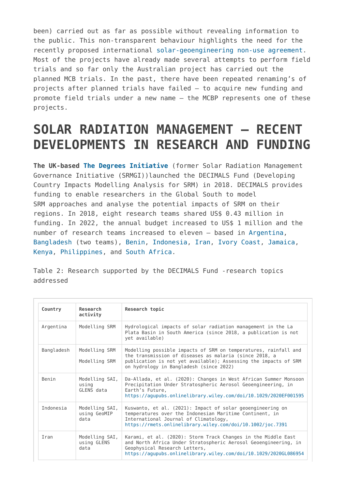been) carried out as far as possible without revealing information to the public. This non-transparent behaviour highlights the need for the recently proposed international [solar-geoengineering non-use agreement](https://www.solargeoeng.org/). Most of the projects have already made several attempts to perform field trials and so far only the Australian project has carried out the planned MCB trials. In the past, there have been repeated renaming's of projects after planned trials have failed – to acquire new funding and promote field trials under a new name – the MCBP represents one of these projects.

# **SOLAR RADIATION MANAGEMENT – RECENT DEVELOPMENTS IN RESEARCH AND FUNDING**

**The UK-based [The Degrees Initiative](https://map.geoengineeringmonitor.org/other/the-degrees-initiative-(former-srmgi))** (former Solar Radiation Management Governance Initiative (SRMGI))launched the DECIMALS Fund (Developing Country Impacts Modelling Analysis for SRM) in 2018. DECIMALS provides funding to enable researchers in the Global South to model SRM approaches and analyse the potential impacts of SRM on their regions. In 2018, eight research teams shared US\$ 0.43 million in funding. In 2022, the annual budget increased to US\$ 1 million and the number of research teams increased to eleven – based in [Argentina,](https://map.geoengineeringmonitor.org/other/decimals-fund-argentina) [Bangladesh](https://map.geoengineeringmonitor.org/other/decimals-fund-bangladesh) (two teams), [Benin,](https://map.geoengineeringmonitor.org/other/decimals-fund-benin) [Indonesia](https://map.geoengineeringmonitor.org/other/decimals-fund-indonesia), [Iran](https://map.geoengineeringmonitor.org/other/decimals-fund-iran), [Ivory Coast](https://map.geoengineeringmonitor.org/other/decimals-fund-ivory-coast), [Jamaica,](https://map.geoengineeringmonitor.org/other/decimals-fund-jamaica) [Kenya,](https://map.geoengineeringmonitor.org/other/decimals-fund-kenya) [Philippines,](https://map.geoengineeringmonitor.org/other/decimals-fund-philippines) and [South Africa.](https://map.geoengineeringmonitor.org/other/decimals-fund-south-africa)

Table 2: Research supported by the DECIMALS Fund -research topics addressed

| Country    | Research<br>activity                   | Research topic                                                                                                                                                                                                                          |  |  |
|------------|----------------------------------------|-----------------------------------------------------------------------------------------------------------------------------------------------------------------------------------------------------------------------------------------|--|--|
| Argentina  | Modelling SRM                          | Hydrological impacts of solar radiation management in the La<br>Plata Basin in South America (since 2018, a publication is not<br>yet available)                                                                                        |  |  |
| Bangladesh | Modelling SRM<br>Modelling SRM         | Modelling possible impacts of SRM on temperatures, rainfall and<br>the transmission of diseases as malaria (since 2018, a<br>publication is not yet available); Assessing the impacts of SRM<br>on hydrology in Bangladesh (since 2022) |  |  |
| Benin      | Modelling SAI,<br>using<br>GLENS data  | Da-Allada, et al. (2020): Changes in West African Summer Monsoon<br>Precipitation Under Stratospheric Aerosol Geoengineering, in<br>Earth's Future,<br>https://aqupubs.onlinelibrary.wiley.com/doi/10.1029/2020EF001595                 |  |  |
| Indonesia  | Modelling SAI,<br>using GeoMIP<br>data | Kuswanto, et al. (2021): Impact of solar geoengineering on<br>temperatures over the Indonesian Maritime Continent, in<br>International Journal of Climatology,<br>https://rmets.onlinelibrary.wiley.com/doi/10.1002/joc.7391            |  |  |
| Iran       | Modelling SAI,<br>using GLENS<br>data  | Karami, et al. (2020): Storm Track Changes in the Middle East<br>and North Africa Under Stratospheric Aerosol Geoengineering, in<br>Geophysical Research Letters,<br>https://aqupubs.onlinelibrary.wiley.com/doi/10.1029/2020GL086954   |  |  |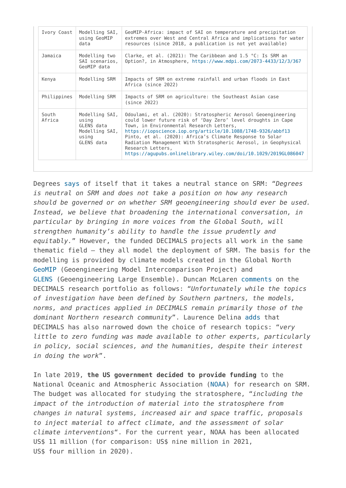| Ivory Coast     | Modelling SAI,<br>using GeoMIP<br>data                                         | GeoMIP-Africa: impact of SAI on temperature and precipitation<br>extremes over West and Central Africa and implications for water<br>resources (since 2018, a publication is not yet available)                                                                                                                                                                                                                                                                  |  |
|-----------------|--------------------------------------------------------------------------------|------------------------------------------------------------------------------------------------------------------------------------------------------------------------------------------------------------------------------------------------------------------------------------------------------------------------------------------------------------------------------------------------------------------------------------------------------------------|--|
| Jamaica         | Modelling two<br>SAI scenarios,<br>GeoMIP data                                 | Clarke, et al. (2021): The Caribbean and 1.5 °C: Is SRM an<br>Option?, in Atmosphere, https://www.mdpi.com/2073-4433/12/3/367                                                                                                                                                                                                                                                                                                                                    |  |
| Kenya           | Modelling SRM                                                                  | Impacts of SRM on extreme rainfall and urban floods in East<br>Africa (since 2022)                                                                                                                                                                                                                                                                                                                                                                               |  |
| Philippines     | Modelling SRM                                                                  | Impacts of SRM on agriculture: the Southeast Asian case<br>(since 2022)                                                                                                                                                                                                                                                                                                                                                                                          |  |
| South<br>Africa | Modelling SAI,<br>using<br>GLENS data<br>Modelling SAI,<br>using<br>GLENS data | Odoulami, et al. (2020): Stratospheric Aerosol Geoengineering<br>could lower future risk of 'Day Zero' level droughts in Cape<br>Town, in Environmental Research Letters,<br>https://iopscience.iop.org/article/10.1088/1748-9326/abbf13<br>Pinto, et al. (2020): Africa's Climate Response to Solar<br>Radiation Management With Stratospheric Aerosol, in Geophysical<br>Research Letters,<br>https://aqupubs.onlinelibrary.wiley.com/doi/10.1029/2019GL086047 |  |

Degrees [says](https://www.degrees.ngo/about/) of itself that it takes a neutral stance on SRM: "*Degrees is neutral on SRM and does not take a position on how any research should be governed or on whether SRM geoengineering should ever be used. Instead, we believe that broadening the international conversation, in particular by bringing in more voices from the Global South, will strengthen humanity's ability to handle the issue prudently and equitably.*" However, the funded DECIMALS projects all work in the same thematic field – they all model the deployment of SRM. The basis for the modelling is provided by climate models created in the Global North [GeoMIP](https://map.geoengineeringmonitor.org/other/geoengineering-model-intercomparison-project-(geomip)) (Geoengineering Model Intercomparison Project) and [GLENS](https://map.geoengineeringmonitor.org/srm/stratospheric-aerosol-geoengineering-large-ensemble-(glens)-project) (Geoengineering Large Ensemble). Duncan McLaren [comments](https://wires.onlinelibrary.wiley.com/doi/full/10.1002/wcc.707) on the DECIMALS research portfolio as follows: "*Unfortunately while the topics of investigation have been defined by Southern partners, the models, norms, and practices applied in DECIMALS remain primarily those of the dominant Northern research community*". Laurence Delina [adds](https://iopscience.iop.org/article/10.1088/2515-7620/ac3dc1/pdf) that DECIMALS has also narrowed down the choice of research topics: "*very little to zero funding was made available to other experts, particularly in policy, social sciences, and the humanities, despite their interest in doing the work*".

In late 2019, **the US government decided to provide funding** to the National Oceanic and Atmospheric Association [\(NOAA\)](https://map.geoengineeringmonitor.org/other/noaa-earth’s-radiation-budget-(erb)-initiative-) for research on SRM. The budget was allocated for studying the stratosphere, "*including the impact of the introduction of material into the stratosphere from changes in natural systems, increased air and space traffic, proposals to inject material to affect climate, and the assessment of solar climate interventions*". For the current year, NOAA has been allocated US\$ 11 million (for comparison: US\$ nine million in 2021, US\$ four million in 2020).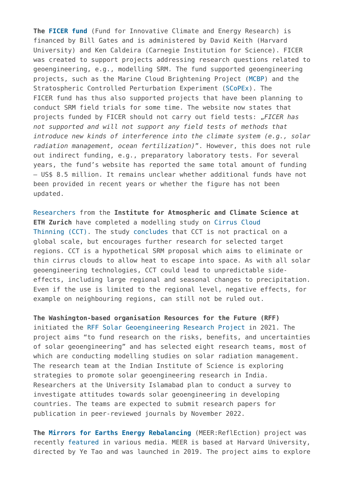**The [FICER fund](https://map.geoengineeringmonitor.org/other/fund-for-innovative-climate-and-energy-research-(ficer)-)** (Fund for Innovative Climate and Energy Research) is financed by Bill Gates and is administered by David Keith (Harvard University) and Ken Caldeira (Carnegie Institution for Science). FICER was created to support projects addressing research questions related to geoengineering, e.g., modelling SRM. The fund supported geoengineering projects, such as the Marine Cloud Brightening Project [\(MCBP\)](https://map.geoengineeringmonitor.org/srm/mcbp-marine-cloud-brightening-project-(former-) and the Stratospheric Controlled Perturbation Experiment ([SCoPEx](https://map.geoengineeringmonitor.org/srm/stratospheric-controlled-perturbation-experiment-(scopex))). The FICER fund has thus also supported projects that have been planning to conduct SRM field trials for some time. The website now states that projects funded by FICER should not carry out field tests: "*FICER has not supported and will not support any field tests of methods that introduce new kinds of interference into the climate system (e.g., solar radiation management, ocean fertilization)*". However, this does not rule out indirect funding, e.g., preparatory laboratory tests. For several years, the fund's website has reported the same total amount of funding – US\$ 8.5 million. It remains unclear whether additional funds have not been provided in recent years or whether the figure has not been updated.

[Researchers](https://map.geoengineeringmonitor.org/srm/cirrus-cloud-thinning-calculations) from the **Institute for Atmospheric and Climate Science at ETH Zurich** have completed a modelling study on [Cirrus Cloud](https://www.geoengineeringmonitor.org/wp-content/uploads/2021/04/cirrus-cloud-thinning.pdf) [Thinning \(CCT\)](https://www.geoengineeringmonitor.org/wp-content/uploads/2021/04/cirrus-cloud-thinning.pdf). The study [concludes](https://acp.copernicus.org/preprints/acp-2021-685/) that CCT is not practical on a global scale, but encourages further research for selected target regions. CCT is a hypothetical SRM proposal which aims to eliminate or thin cirrus clouds to allow heat to escape into space. As with all solar geoengineering technologies, CCT could lead to unpredictable sideeffects, including large regional and seasonal changes to precipitation. Even if the use is limited to the regional level, negative effects, for example on neighbouring regions, can still not be ruled out.

**The Washington-based organisation Resources for the Future (RFF)** initiated the [RFF Solar Geoengineering Research Project](https://map.geoengineeringmonitor.org/other/rff-solar-geoengineering-research-project) in 2021. The project aims "to fund research on the risks, benefits, and uncertainties of solar geoengineering" and has selected eight research teams, most of which are conducting modelling studies on solar radiation management. The research team at the Indian Institute of Science is exploring strategies to promote solar geoengineering research in India. Researchers at the University Islamabad plan to conduct a survey to investigate attitudes towards solar geoengineering in developing countries. The teams are expected to submit research papers for publication in peer-reviewed journals by November 2022.

**The [Mirrors for Earths Energy Rebalancing](https://map.geoengineeringmonitor.org/other/meer-reflection-project)** (MEER:ReflEction) project was recently [featured](https://www.meerreflection.com/media) in various media. MEER is based at Harvard University, directed by Ye Tao and was launched in 2019. The project aims to explore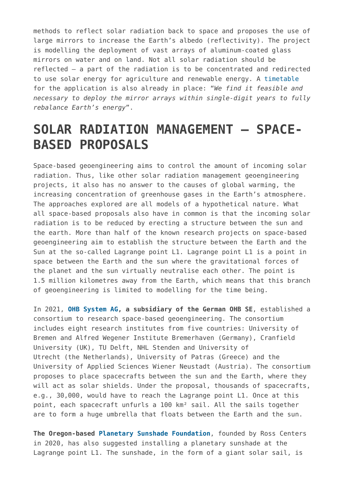methods to reflect solar radiation back to space and proposes the use of large mirrors to increase the Earth's albedo (reflectivity). The project is modelling the deployment of vast arrays of aluminum-coated glass mirrors on water and on land. Not all solar radiation should be reflected – a part of the radiation is to be concentrated and redirected to use solar energy for agriculture and renewable energy. A [timetable](https://drawdown.psu.edu/poster/mirrors-earths-energy-rebalancing-meerreflection-resource-driven-engineering-leveraging) for the application is also already in place: "*We find it feasible and necessary to deploy the mirror arrays within single-digit years to fully rebalance Earth's energy*".

### **SOLAR RADIATION MANAGEMENT – SPACE-BASED PROPOSALS**

Space-based geoengineering aims to control the amount of incoming solar radiation. Thus, like other solar radiation management geoengineering projects, it also has no answer to the causes of global warming, the increasing concentration of greenhouse gases in the Earth's atmosphere. The approaches explored are all models of a hypothetical nature. What all space-based proposals also have in common is that the incoming solar radiation is to be reduced by erecting a structure between the sun and the earth. More than half of the known research projects on space-based geoengineering aim to establish the structure between the Earth and the Sun at the so-called Lagrange point L1. Lagrange point L1 is a point in space between the Earth and the sun where the gravitational forces of the planet and the sun virtually neutralise each other. The point is 1.5 million kilometres away from the Earth, which means that this branch of geoengineering is limited to modelling for the time being.

In 2021, **[OHB System AG](https://map.geoengineeringmonitor.org/other/ohb-space-based-solar-shields), a subsidiary of the German OHB SE**, established a consortium to research space-based geoengineering. The consortium includes eight research institutes from five countries: University of Bremen and Alfred Wegener Institute Bremerhaven (Germany), Cranfield University (UK), TU Delft, NHL Stenden and University of Utrecht (the Netherlands), University of Patras (Greece) and the University of Applied Sciences Wiener Neustadt (Austria). The consortium proposes to place spacecrafts between the sun and the Earth, where they will act as solar shields. Under the proposal, thousands of spacecrafts, e.g., 30,000, would have to reach the Lagrange point L1. Once at this point, each spacecraft unfurls a 100 km² sail. All the sails together are to form a huge umbrella that floats between the Earth and the sun.

**The Oregon-based [Planetary Sunshade Foundation](https://map.geoengineeringmonitor.org/other/planetary-sunshade-foundation-space-based-geoengineering)**, founded by Ross Centers in 2020, has also suggested installing a planetary sunshade at the Lagrange point L1. The sunshade, in the form of a giant solar sail, is